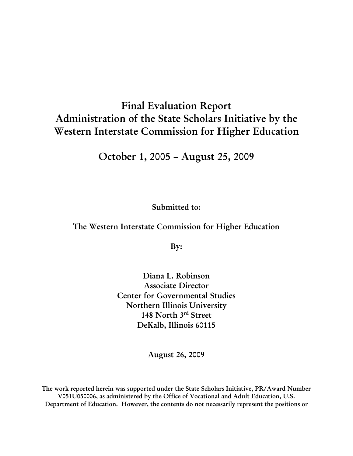# Final Evaluation Report Administration of the State Scholars Initiative by the Western Interstate Commission for Higher Education

October 1, 2005 – August 25, 2009

Submitted to:

### The Western Interstate Commission for Higher Education

By:

Diana L. Robinson Associate Director Center for Governmental Studies Northern Illinois University 148 North 3rd Street DeKalb, Illinois 60115

August 26, 2009

The work reported herein was supported under the State Scholars Initiative, PR/Award Number V051U050006, as administered by the Office of Vocational and Adult Education, U.S. Department of Education. However, the contents do not necessarily represent the positions or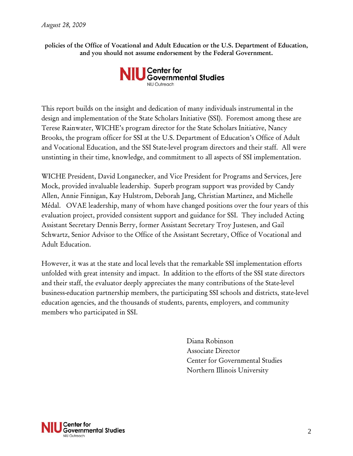policies of the Office of Vocational and Adult Education or the U.S. Department of Education, and you should not assume endorsement by the Federal Government.



This report builds on the insight and dedication of many individuals instrumental in the design and implementation of the State Scholars Initiative (SSI). Foremost among these are Terese Rainwater, WICHE's program director for the State Scholars Initiative, Nancy Brooks, the program officer for SSI at the U.S. Department of Education's Office of Adult and Vocational Education, and the SSI State-level program directors and their staff. All were unstinting in their time, knowledge, and commitment to all aspects of SSI implementation.

WICHE President, David Longanecker, and Vice President for Programs and Services, Jere Mock, provided invaluable leadership. Superb program support was provided by Candy Allen, Annie Finnigan, Kay Hulstrom, Deborah Jang, Christian Martinez, and Michelle Médal. OVAE leadership, many of whom have changed positions over the four years of this evaluation project, provided consistent support and guidance for SSI. They included Acting Assistant Secretary Dennis Berry, former Assistant Secretary Troy Justesen, and Gail Schwartz, Senior Advisor to the Office of the Assistant Secretary, Office of Vocational and Adult Education.

However, it was at the state and local levels that the remarkable SSI implementation efforts unfolded with great intensity and impact. In addition to the efforts of the SSI state directors and their staff, the evaluator deeply appreciates the many contributions of the State-level business-education partnership members, the participating SSI schools and districts, state-level education agencies, and the thousands of students, parents, employers, and community members who participated in SSI.

> Diana Robinson Associate Director Center for Governmental Studies Northern Illinois University

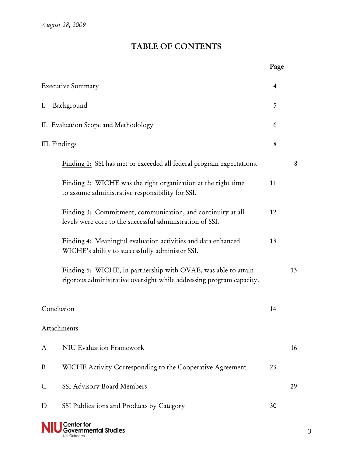# TABLE OF CONTENTS

|                                                                                                                                        | Page           |    |
|----------------------------------------------------------------------------------------------------------------------------------------|----------------|----|
| <b>Executive Summary</b>                                                                                                               | $\overline{4}$ |    |
| Background<br>$\mathbf{I}$ .                                                                                                           | 5              |    |
| II. Evaluation Scope and Methodology                                                                                                   | 6              |    |
| III. Findings                                                                                                                          | 8              |    |
| Finding 1: SSI has met or exceeded all federal program expectations.                                                                   |                | 8  |
| Finding 2: WICHE was the right organization at the right time<br>to assume administrative responsibility for SSI.                      | 11             |    |
| Finding 3: Commitment, communication, and continuity at all<br>levels were core to the successful administration of SSI.               | 12             |    |
| Finding 4: Meaningful evaluation activities and data enhanced<br>WICHE's ability to successfully administer SSI.                       | 13             |    |
| Finding 5: WICHE, in partnership with OVAE, was able to attain<br>rigorous administrative oversight while addressing program capacity. |                | 13 |
| Conclusion                                                                                                                             | 14             |    |
| Attachments                                                                                                                            |                |    |
| NIU Evaluation Framework<br>A                                                                                                          |                | 16 |
| WICHE Activity Corresponding to the Cooperative Agreement<br>B                                                                         | 23             |    |
| SSI Advisory Board Members<br>$\mathsf{C}$                                                                                             |                | 29 |
| SSI Publications and Products by Category<br>D                                                                                         | 30             |    |
| antar far                                                                                                                              |                |    |

**NIU** Governmental Studies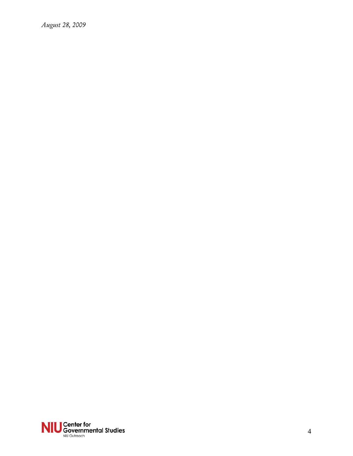*August 28, 2009* 

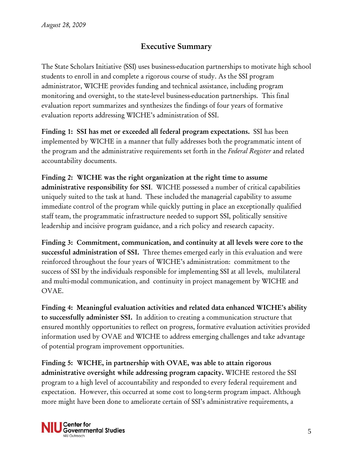## Executive Summary

The State Scholars Initiative (SSI) uses business-education partnerships to motivate high school students to enroll in and complete a rigorous course of study. As the SSI program administrator, WICHE provides funding and technical assistance, including program monitoring and oversight, to the state-level business-education partnerships. This final evaluation report summarizes and synthesizes the findings of four years of formative evaluation reports addressing WICHE's administration of SSI.

Finding 1: SSI has met or exceeded all federal program expectations. SSI has been implemented by WICHE in a manner that fully addresses both the programmatic intent of the program and the administrative requirements set forth in the *Federal Register* and related accountability documents.

Finding 2: WICHE was the right organization at the right time to assume administrative responsibility for SSI. WICHE possessed a number of critical capabilities uniquely suited to the task at hand. These included the managerial capability to assume immediate control of the program while quickly putting in place an exceptionally qualified staff team, the programmatic infrastructure needed to support SSI, politically sensitive leadership and incisive program guidance, and a rich policy and research capacity.

Finding 3: Commitment, communication, and continuity at all levels were core to the successful administration of SSI. Three themes emerged early in this evaluation and were reinforced throughout the four years of WICHE's administration: commitment to the success of SSI by the individuals responsible for implementing SSI at all levels, multilateral and multi-modal communication, and continuity in project management by WICHE and OVAE.

Finding 4: Meaningful evaluation activities and related data enhanced WICHE's ability to successfully administer SSI. In addition to creating a communication structure that ensured monthly opportunities to reflect on progress, formative evaluation activities provided information used by OVAE and WICHE to address emerging challenges and take advantage of potential program improvement opportunities.

Finding 5: WICHE, in partnership with OVAE, was able to attain rigorous administrative oversight while addressing program capacity. WICHE restored the SSI program to a high level of accountability and responded to every federal requirement and expectation. However, this occurred at some cost to long-term program impact. Although more might have been done to ameliorate certain of SSI's administrative requirements, a

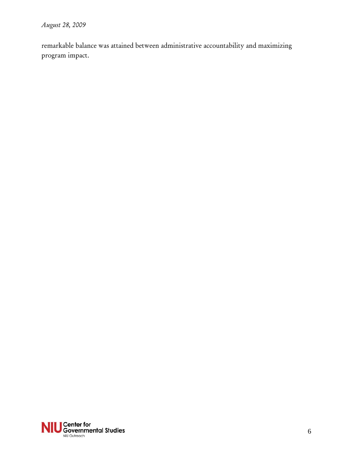remarkable balance was attained between administrative accountability and maximizing program impact.

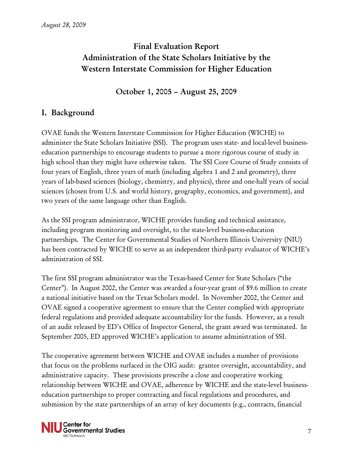# Final Evaluation Report Administration of the State Scholars Initiative by the Western Interstate Commission for Higher Education

October 1, 2005 – August 25, 2009

## I. Background

OVAE funds the Western Interstate Commission for Higher Education (WICHE) to administer the State Scholars Initiative (SSI). The program uses state- and local-level businesseducation partnerships to encourage students to pursue a more rigorous course of study in high school than they might have otherwise taken. The SSI Core Course of Study consists of four years of English, three years of math (including algebra 1 and 2 and geometry), three years of lab-based sciences (biology, chemistry, and physics), three and one-half years of social sciences (chosen from U.S. and world history, geography, economics, and government), and two years of the same language other than English.

As the SSI program administrator, WICHE provides funding and technical assistance, including program monitoring and oversight, to the state-level business-education partnerships. The Center for Governmental Studies of Northern Illinois University (NIU) has been contracted by WICHE to serve as an independent third-party evaluator of WICHE's administration of SSI.

The first SSI program administrator was the Texas-based Center for State Scholars ("the Center"). In August 2002, the Center was awarded a four-year grant of \$9.6 million to create a national initiative based on the Texas Scholars model. In November 2002, the Center and OVAE signed a cooperative agreement to ensure that the Center complied with appropriate federal regulations and provided adequate accountability for the funds. However, as a result of an audit released by ED's Office of Inspector General, the grant award was terminated. In September 2005, ED approved WICHE's application to assume administration of SSI.

The cooperative agreement between WICHE and OVAE includes a number of provisions that focus on the problems surfaced in the OIG audit: grantee oversight, accountability, and administrative capacity. These provisions prescribe a close and cooperative working relationship between WICHE and OVAE, adherence by WICHE and the state-level businesseducation partnerships to proper contracting and fiscal regulations and procedures, and submission by the state partnerships of an array of key documents (e.g., contracts, financial

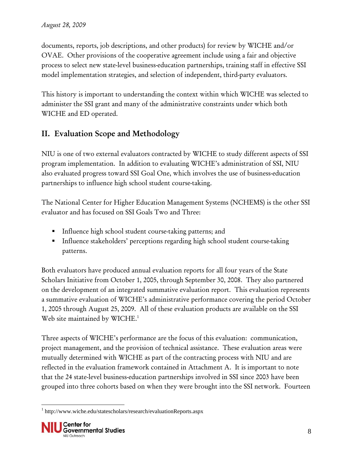documents, reports, job descriptions, and other products) for review by WICHE and/or OVAE. Other provisions of the cooperative agreement include using a fair and objective process to select new state-level business-education partnerships, training staff in effective SSI model implementation strategies, and selection of independent, third-party evaluators.

This history is important to understanding the context within which WICHE was selected to administer the SSI grant and many of the administrative constraints under which both WICHE and ED operated.

# II. Evaluation Scope and Methodology

NIU is one of two external evaluators contracted by WICHE to study different aspects of SSI program implementation. In addition to evaluating WICHE's administration of SSI, NIU also evaluated progress toward SSI Goal One, which involves the use of business-education partnerships to influence high school student course-taking.

The National Center for Higher Education Management Systems (NCHEMS) is the other SSI evaluator and has focused on SSI Goals Two and Three:

- Influence high school student course-taking patterns; and
- Influence stakeholders' perceptions regarding high school student course-taking patterns.

Both evaluators have produced annual evaluation reports for all four years of the State Scholars Initiative from October 1, 2005, through September 30, 2008. They also partnered on the development of an integrated summative evaluation report. This evaluation represents a summative evaluation of WICHE's administrative performance covering the period October 1, 2005 through August 25, 2009. All of these evaluation products are available on the SSI Web site maintained by WICHE.<sup>1</sup>

Three aspects of WICHE's performance are the focus of this evaluation: communication, project management, and the provision of technical assistance. These evaluation areas were mutually determined with WICHE as part of the contracting process with NIU and are reflected in the evaluation framework contained in Attachment A. It is important to note that the 24 state-level business-education partnerships involved in SSI since 2003 have been grouped into three cohorts based on when they were brought into the SSI network. Fourteen

 $\overline{a}$ 

<sup>1</sup> http://www.wiche.edu/statescholars/research/evaluationReports.aspx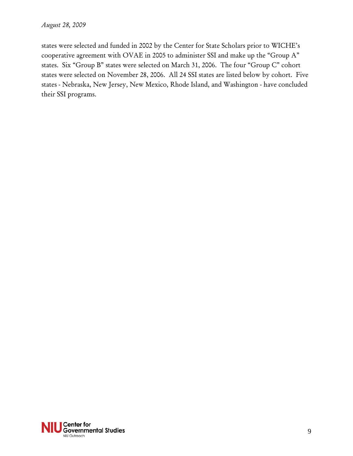states were selected and funded in 2002 by the Center for State Scholars prior to WICHE's cooperative agreement with OVAE in 2005 to administer SSI and make up the "Group A" states. Six "Group B" states were selected on March 31, 2006. The four "Group C" cohort states were selected on November 28, 2006. All 24 SSI states are listed below by cohort. Five states - Nebraska, New Jersey, New Mexico, Rhode Island, and Washington - have concluded their SSI programs.

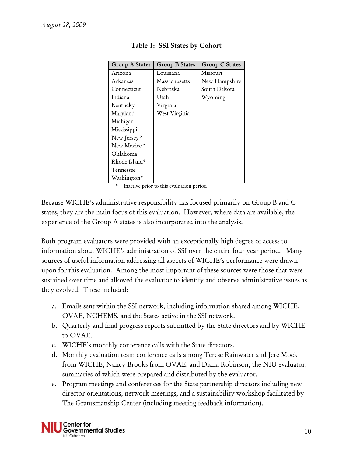| <b>Group A States</b> | <b>Group B States</b> | Group C States |
|-----------------------|-----------------------|----------------|
| Arizona               | Louisiana             | Missouri       |
| Arkansas              | Massachusetts         | New Hampshire  |
| Connecticut           | Nebraska*             | South Dakota   |
| Indiana               | Utah                  | Wyoming        |
| Kentucky              | Virginia              |                |
| Maryland              | West Virginia         |                |
| Michigan              |                       |                |
| Mississippi           |                       |                |
| New Jersey*           |                       |                |
| New Mexico*           |                       |                |
| Oklahoma              |                       |                |
| Rhode Island*         |                       |                |
| Tennessee             |                       |                |
| Washington*           |                       |                |

Table 1: SSI States by Cohort

Inactive prior to this evaluation period

Because WICHE's administrative responsibility has focused primarily on Group B and C states, they are the main focus of this evaluation. However, where data are available, the experience of the Group A states is also incorporated into the analysis.

Both program evaluators were provided with an exceptionally high degree of access to information about WICHE's administration of SSI over the entire four year period. Many sources of useful information addressing all aspects of WICHE's performance were drawn upon for this evaluation. Among the most important of these sources were those that were sustained over time and allowed the evaluator to identify and observe administrative issues as they evolved. These included:

- a. Emails sent within the SSI network, including information shared among WICHE, OVAE, NCHEMS, and the States active in the SSI network.
- b. Quarterly and final progress reports submitted by the State directors and by WICHE to OVAE.
- c. WICHE's monthly conference calls with the State directors.
- d. Monthly evaluation team conference calls among Terese Rainwater and Jere Mock from WICHE, Nancy Brooks from OVAE, and Diana Robinson, the NIU evaluator, summaries of which were prepared and distributed by the evaluator.
- e. Program meetings and conferences for the State partnership directors including new director orientations, network meetings, and a sustainability workshop facilitated by The Grantsmanship Center (including meeting feedback information).

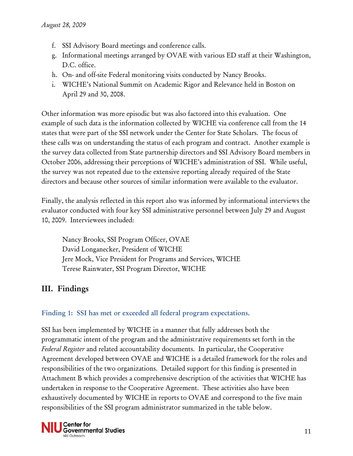- f. SSI Advisory Board meetings and conference calls.
- g. Informational meetings arranged by OVAE with various ED staff at their Washington, D.C. office.
- h. On- and off-site Federal monitoring visits conducted by Nancy Brooks.
- i. WICHE's National Summit on Academic Rigor and Relevance held in Boston on April 29 and 30, 2008.

Other information was more episodic but was also factored into this evaluation. One example of such data is the information collected by WICHE via conference call from the 14 states that were part of the SSI network under the Center for State Scholars. The focus of these calls was on understanding the status of each program and contract. Another example is the survey data collected from State partnership directors and SSI Advisory Board members in October 2006, addressing their perceptions of WICHE's administration of SSI. While useful, the survey was not repeated due to the extensive reporting already required of the State directors and because other sources of similar information were available to the evaluator.

Finally, the analysis reflected in this report also was informed by informational interviews the evaluator conducted with four key SSI administrative personnel between July 29 and August 10, 2009. Interviewees included:

Nancy Brooks, SSI Program Officer, OVAE David Longanecker, President of WICHE Jere Mock, Vice President for Programs and Services, WICHE Terese Rainwater, SSI Program Director, WICHE

# III. Findings

## Finding 1: SSI has met or exceeded all federal program expectations.

SSI has been implemented by WICHE in a manner that fully addresses both the programmatic intent of the program and the administrative requirements set forth in the *Federal Register* and related accountability documents. In particular, the Cooperative Agreement developed between OVAE and WICHE is a detailed framework for the roles and responsibilities of the two organizations. Detailed support for this finding is presented in Attachment B which provides a comprehensive description of the activities that WICHE has undertaken in response to the Cooperative Agreement. These activities also have been exhaustively documented by WICHE in reports to OVAE and correspond to the five main responsibilities of the SSI program administrator summarized in the table below.

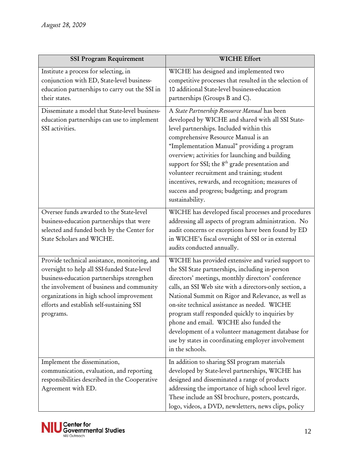| <b>SSI Program Requirement</b>                                                                                                                                                                                                                                                                 | <b>WICHE Effort</b>                                                                                                                                                                                                                                                                                                                                                                                                                                                                                                                                       |
|------------------------------------------------------------------------------------------------------------------------------------------------------------------------------------------------------------------------------------------------------------------------------------------------|-----------------------------------------------------------------------------------------------------------------------------------------------------------------------------------------------------------------------------------------------------------------------------------------------------------------------------------------------------------------------------------------------------------------------------------------------------------------------------------------------------------------------------------------------------------|
| Institute a process for selecting, in<br>conjunction with ED, State-level business-<br>education partnerships to carry out the SSI in<br>their states.                                                                                                                                         | WICHE has designed and implemented two<br>competitive processes that resulted in the selection of<br>10 additional State-level business-education<br>partnerships (Groups B and C).                                                                                                                                                                                                                                                                                                                                                                       |
| Disseminate a model that State-level business-<br>education partnerships can use to implement<br>SSI activities.                                                                                                                                                                               | A State Partnership Resource Manual has been<br>developed by WICHE and shared with all SSI State-<br>level partnerships. Included within this<br>comprehensive Resource Manual is an<br>"Implementation Manual" providing a program<br>overview; activities for launching and building<br>support for SSI; the 8 <sup>th</sup> grade presentation and<br>volunteer recruitment and training; student<br>incentives, rewards, and recognition; measures of<br>success and progress; budgeting; and program<br>sustainability.                              |
| Oversee funds awarded to the State-level<br>business-education partnerships that were<br>selected and funded both by the Center for<br>State Scholars and WICHE.                                                                                                                               | WICHE has developed fiscal processes and procedures<br>addressing all aspects of program administration. No<br>audit concerns or exceptions have been found by ED<br>in WICHE's fiscal oversight of SSI or in external<br>audits conducted annually.                                                                                                                                                                                                                                                                                                      |
| Provide technical assistance, monitoring, and<br>oversight to help all SSI-funded State-level<br>business-education partnerships strengthen<br>the involvement of business and community<br>organizations in high school improvement<br>efforts and establish self-sustaining SSI<br>programs. | WICHE has provided extensive and varied support to<br>the SSI State partnerships, including in-person<br>directors' meetings, monthly directors' conference<br>calls, an SSI Web site with a directors-only section, a<br>National Summit on Rigor and Relevance, as well as<br>on-site technical assistance as needed. WICHE<br>program staff responded quickly to inquiries by<br>phone and email. WICHE also funded the<br>development of a volunteer management database for<br>use by states in coordinating employer involvement<br>in the schools. |
| Implement the dissemination,<br>communication, evaluation, and reporting<br>responsibilities described in the Cooperative<br>Agreement with ED.                                                                                                                                                | In addition to sharing SSI program materials<br>developed by State-level partnerships, WICHE has<br>designed and disseminated a range of products<br>addressing the importance of high school level rigor.<br>These include an SSI brochure, posters, postcards,<br>logo, videos, a DVD, newsletters, news clips, policy                                                                                                                                                                                                                                  |

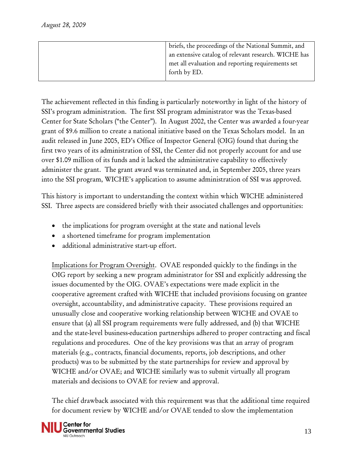| briefs, the proceedings of the National Summit, and  |
|------------------------------------------------------|
| an extensive catalog of relevant research. WICHE has |
| met all evaluation and reporting requirements set    |
| forth by ED.                                         |
|                                                      |

The achievement reflected in this finding is particularly noteworthy in light of the history of SSI's program administration. The first SSI program administrator was the Texas-based Center for State Scholars ("the Center"). In August 2002, the Center was awarded a four-year grant of \$9.6 million to create a national initiative based on the Texas Scholars model. In an audit released in June 2005, ED's Office of Inspector General (OIG) found that during the first two years of its administration of SSI, the Center did not properly account for and use over \$1.09 million of its funds and it lacked the administrative capability to effectively administer the grant. The grant award was terminated and, in September 2005, three years into the SSI program, WICHE's application to assume administration of SSI was approved.

This history is important to understanding the context within which WICHE administered SSI. Three aspects are considered briefly with their associated challenges and opportunities:

- the implications for program oversight at the state and national levels
- a shortened timeframe for program implementation
- additional administrative start-up effort.

Implications for Program Oversight. OVAE responded quickly to the findings in the OIG report by seeking a new program administrator for SSI and explicitly addressing the issues documented by the OIG. OVAE's expectations were made explicit in the cooperative agreement crafted with WICHE that included provisions focusing on grantee oversight, accountability, and administrative capacity. These provisions required an unusually close and cooperative working relationship between WICHE and OVAE to ensure that (a) all SSI program requirements were fully addressed, and (b) that WICHE and the state-level business-education partnerships adhered to proper contracting and fiscal regulations and procedures. One of the key provisions was that an array of program materials (e.g., contracts, financial documents, reports, job descriptions, and other products) was to be submitted by the state partnerships for review and approval by WICHE and/or OVAE; and WICHE similarly was to submit virtually all program materials and decisions to OVAE for review and approval.

The chief drawback associated with this requirement was that the additional time required for document review by WICHE and/or OVAE tended to slow the implementation

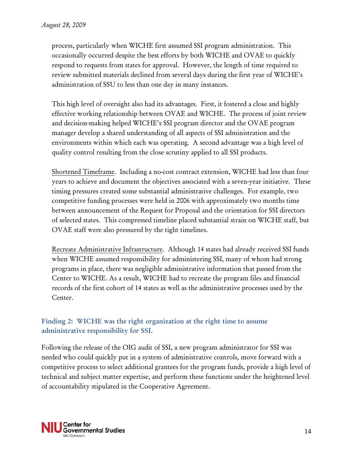process, particularly when WICHE first assumed SSI program administration. This occasionally occurred despite the best efforts by both WICHE and OVAE to quickly respond to requests from states for approval. However, the length of time required to review submitted materials declined from several days during the first year of WICHE's administration of SSU to less than one day in many instances.

This high level of oversight also had its advantages. First, it fostered a close and highly effective working relationship between OVAE and WICHE. The process of joint review and decision-making helped WICHE's SSI program director and the OVAE program manager develop a shared understanding of all aspects of SSI administration and the environments within which each was operating. A second advantage was a high level of quality control resulting from the close scrutiny applied to all SSI products.

Shortened Timeframe. Including a no-cost contract extension, WICHE had less than four years to achieve and document the objectives associated with a seven-year initiative. These timing pressures created some substantial administrative challenges. For example, two competitive funding processes were held in 2006 with approximately two months time between announcement of the Request for Proposal and the orientation for SSI directors of selected states. This compressed timeline placed substantial strain on WICHE staff, but OVAE staff were also pressured by the tight timelines.

Recreate Administrative Infrastructure. Although 14 states had already received SSI funds when WICHE assumed responsibility for administering SSI, many of whom had strong programs in place, there was negligible administrative information that passed from the Center to WICHE. As a result, WICHE had to recreate the program files and financial records of the first cohort of 14 states as well as the administrative processes used by the Center.

## Finding 2: WICHE was the right organization at the right time to assume administrative responsibility for SSI.

Following the release of the OIG audit of SSI, a new program administrator for SSI was needed who could quickly put in a system of administrative controls, move forward with a competitive process to select additional grantees for the program funds, provide a high level of technical and subject matter expertise, and perform these functions under the heightened level of accountability stipulated in the Cooperative Agreement.

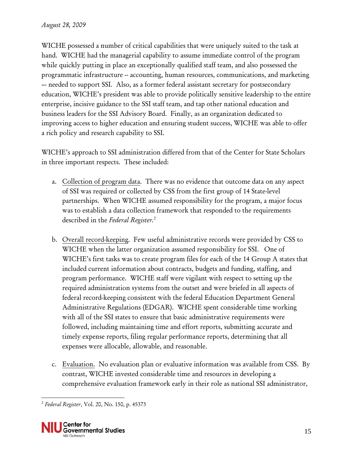WICHE possessed a number of critical capabilities that were uniquely suited to the task at hand. WICHE had the managerial capability to assume immediate control of the program while quickly putting in place an exceptionally qualified staff team, and also possessed the programmatic infrastructure -- accounting, human resources, communications, and marketing –- needed to support SSI. Also, as a former federal assistant secretary for postsecondary education, WICHE's president was able to provide politically sensitive leadership to the entire enterprise, incisive guidance to the SSI staff team, and tap other national education and business leaders for the SSI Advisory Board. Finally, as an organization dedicated to improving access to higher education and ensuring student success, WICHE was able to offer a rich policy and research capability to SSI.

WICHE's approach to SSI administration differed from that of the Center for State Scholars in three important respects. These included:

- a. Collection of program data. There was no evidence that outcome data on any aspect of SSI was required or collected by CSS from the first group of 14 State-level partnerships. When WICHE assumed responsibility for the program, a major focus was to establish a data collection framework that responded to the requirements described in the *Federal Register.*<sup>2</sup>
- b. Overall record-keeping. Few useful administrative records were provided by CSS to WICHE when the latter organization assumed responsibility for SSI. One of WICHE's first tasks was to create program files for each of the 14 Group A states that included current information about contracts, budgets and funding, staffing, and program performance. WICHE staff were vigilant with respect to setting up the required administration systems from the outset and were briefed in all aspects of federal record-keeping consistent with the federal Education Department General Administrative Regulations (EDGAR). WICHE spent considerable time working with all of the SSI states to ensure that basic administrative requirements were followed, including maintaining time and effort reports, submitting accurate and timely expense reports, filing regular performance reports, determining that all expenses were allocable, allowable, and reasonable.
- c. Evaluation. No evaluation plan or evaluative information was available from CSS. By contrast, WICHE invested considerable time and resources in developing a comprehensive evaluation framework early in their role as national SSI administrator,

 $\overline{a}$ <sup>2</sup> *Federal Register*, Vol. 20, No. 150, p. 45373

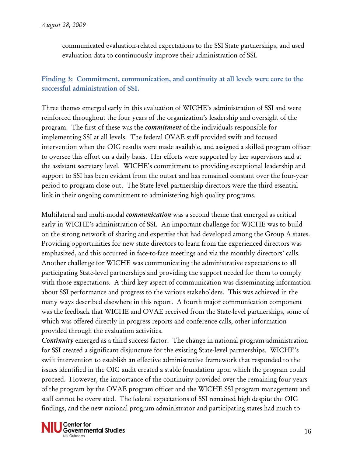communicated evaluation-related expectations to the SSI State partnerships, and used evaluation data to continuously improve their administration of SSI.

### Finding 3: Commitment, communication, and continuity at all levels were core to the successful administration of SSI.

Three themes emerged early in this evaluation of WICHE's administration of SSI and were reinforced throughout the four years of the organization's leadership and oversight of the program. The first of these was the *commitment* of the individuals responsible for implementing SSI at all levels. The federal OVAE staff provided swift and focused intervention when the OIG results were made available, and assigned a skilled program officer to oversee this effort on a daily basis. Her efforts were supported by her supervisors and at the assistant secretary level. WICHE's commitment to providing exceptional leadership and support to SSI has been evident from the outset and has remained constant over the four-year period to program close-out. The State-level partnership directors were the third essential link in their ongoing commitment to administering high quality programs.

Multilateral and multi-modal *communication* was a second theme that emerged as critical early in WICHE's administration of SSI. An important challenge for WICHE was to build on the strong network of sharing and expertise that had developed among the Group A states. Providing opportunities for new state directors to learn from the experienced directors was emphasized, and this occurred in face-to-face meetings and via the monthly directors' calls. Another challenge for WICHE was communicating the administrative expectations to all participating State-level partnerships and providing the support needed for them to comply with those expectations. A third key aspect of communication was disseminating information about SSI performance and progress to the various stakeholders. This was achieved in the many ways described elsewhere in this report. A fourth major communication component was the feedback that WICHE and OVAE received from the State-level partnerships, some of which was offered directly in progress reports and conference calls, other information provided through the evaluation activities.

*Continuity* emerged as a third success factor. The change in national program administration for SSI created a significant disjuncture for the existing State-level partnerships. WICHE's swift intervention to establish an effective administrative framework that responded to the issues identified in the OIG audit created a stable foundation upon which the program could proceed. However, the importance of the continuity provided over the remaining four years of the program by the OVAE program officer and the WICHE SSI program management and staff cannot be overstated. The federal expectations of SSI remained high despite the OIG findings, and the new national program administrator and participating states had much to

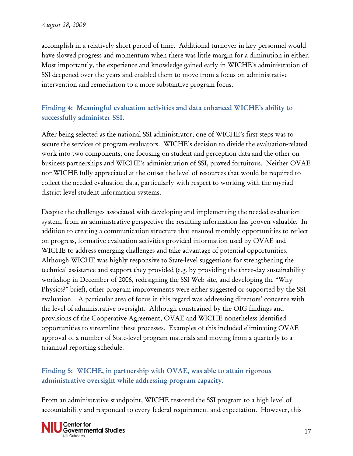accomplish in a relatively short period of time. Additional turnover in key personnel would have slowed progress and momentum when there was little margin for a diminution in either. Most importantly, the experience and knowledge gained early in WICHE's administration of SSI deepened over the years and enabled them to move from a focus on administrative intervention and remediation to a more substantive program focus.

## Finding 4: Meaningful evaluation activities and data enhanced WICHE's ability to successfully administer SSI.

After being selected as the national SSI administrator, one of WICHE's first steps was to secure the services of program evaluators. WICHE's decision to divide the evaluation-related work into two components, one focusing on student and perception data and the other on business partnerships and WICHE's administration of SSI, proved fortuitous. Neither OVAE nor WICHE fully appreciated at the outset the level of resources that would be required to collect the needed evaluation data, particularly with respect to working with the myriad district-level student information systems.

Despite the challenges associated with developing and implementing the needed evaluation system, from an administrative perspective the resulting information has proven valuable. In addition to creating a communication structure that ensured monthly opportunities to reflect on progress, formative evaluation activities provided information used by OVAE and WICHE to address emerging challenges and take advantage of potential opportunities. Although WICHE was highly responsive to State-level suggestions for strengthening the technical assistance and support they provided (e.g. by providing the three-day sustainability workshop in December of 2006, redesigning the SSI Web site, and developing the "Why Physics?" brief), other program improvements were either suggested or supported by the SSI evaluation. A particular area of focus in this regard was addressing directors' concerns with the level of administrative oversight. Although constrained by the OIG findings and provisions of the Cooperative Agreement, OVAE and WICHE nonetheless identified opportunities to streamline these processes. Examples of this included eliminating OVAE approval of a number of State-level program materials and moving from a quarterly to a triannual reporting schedule.

### Finding 5: WICHE, in partnership with OVAE, was able to attain rigorous administrative oversight while addressing program capacity.

From an administrative standpoint, WICHE restored the SSI program to a high level of accountability and responded to every federal requirement and expectation. However, this

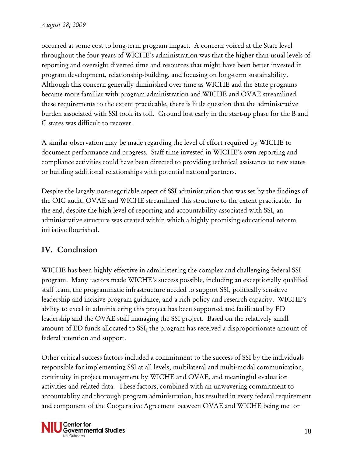occurred at some cost to long-term program impact. A concern voiced at the State level throughout the four years of WICHE's administration was that the higher-than-usual levels of reporting and oversight diverted time and resources that might have been better invested in program development, relationship-building, and focusing on long-term sustainability. Although this concern generally diminished over time as WICHE and the State programs became more familiar with program administration and WICHE and OVAE streamlined these requirements to the extent practicable, there is little question that the administrative burden associated with SSI took its toll. Ground lost early in the start-up phase for the B and C states was difficult to recover.

A similar observation may be made regarding the level of effort required by WICHE to document performance and progress. Staff time invested in WICHE's own reporting and compliance activities could have been directed to providing technical assistance to new states or building additional relationships with potential national partners.

Despite the largely non-negotiable aspect of SSI administration that was set by the findings of the OIG audit, OVAE and WICHE streamlined this structure to the extent practicable. In the end, despite the high level of reporting and accountability associated with SSI, an administrative structure was created within which a highly promising educational reform initiative flourished.

# IV. Conclusion

WICHE has been highly effective in administering the complex and challenging federal SSI program. Many factors made WICHE's success possible, including an exceptionally qualified staff team, the programmatic infrastructure needed to support SSI, politically sensitive leadership and incisive program guidance, and a rich policy and research capacity. WICHE's ability to excel in administering this project has been supported and facilitated by ED leadership and the OVAE staff managing the SSI project. Based on the relatively small amount of ED funds allocated to SSI, the program has received a disproportionate amount of federal attention and support.

Other critical success factors included a commitment to the success of SSI by the individuals responsible for implementing SSI at all levels, multilateral and multi-modal communication, continuity in project management by WICHE and OVAE, and meaningful evaluation activities and related data. These factors, combined with an unwavering commitment to accountablity and thorough program administration, has resulted in every federal requirement and component of the Cooperative Agreement between OVAE and WICHE being met or

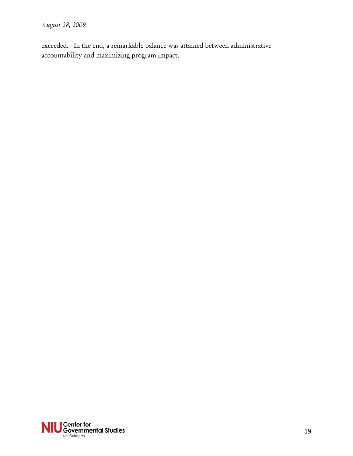exceeded. In the end, a remarkable balance was attained between administrative accountability and maximizing program impact.

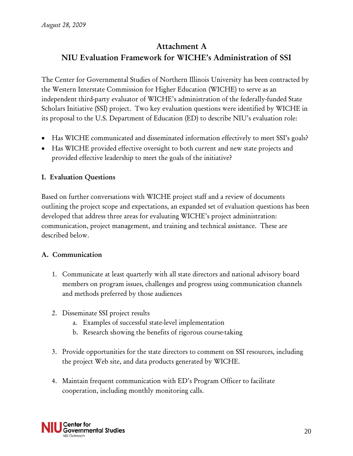# Attachment A NIU Evaluation Framework for WICHE's Administration of SSI

The Center for Governmental Studies of Northern Illinois University has been contracted by the Western Interstate Commission for Higher Education (WICHE) to serve as an independent third-party evaluator of WICHE's administration of the federally-funded State Scholars Initiative (SSI) project. Two key evaluation questions were identified by WICHE in its proposal to the U.S. Department of Education (ED) to describe NIU's evaluation role:

- Has WICHE communicated and disseminated information effectively to meet SSI's goals?
- Has WICHE provided effective oversight to both current and new state projects and provided effective leadership to meet the goals of the initiative?

### I. Evaluation Questions

Based on further conversations with WICHE project staff and a review of documents outlining the project scope and expectations, an expanded set of evaluation questions has been developed that address three areas for evaluating WICHE's project administration: communication, project management, and training and technical assistance. These are described below.

### A. Communication

- 1. Communicate at least quarterly with all state directors and national advisory board members on program issues, challenges and progress using communication channels and methods preferred by those audiences
- 2. Disseminate SSI project results
	- a. Examples of successful state-level implementation
	- b. Research showing the benefits of rigorous course-taking
- 3. Provide opportunities for the state directors to comment on SSI resources, including the project Web site, and data products generated by WICHE.
- 4. Maintain frequent communication with ED's Program Officer to facilitate cooperation, including monthly monitoring calls.

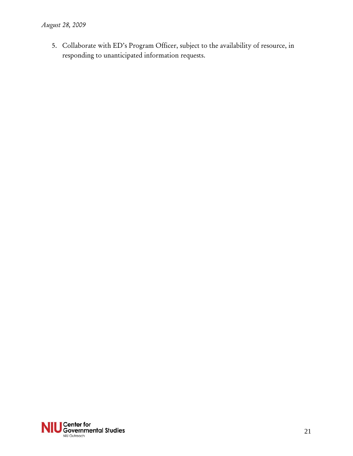5. Collaborate with ED's Program Officer, subject to the availability of resource, in responding to unanticipated information requests.

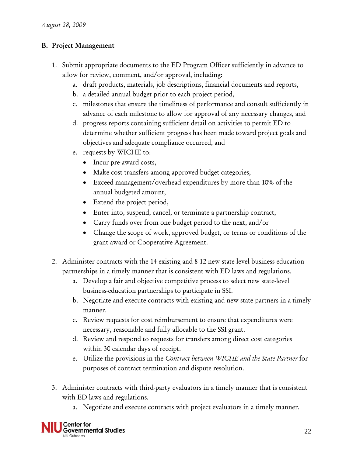### B. Project Management

- 1. Submit appropriate documents to the ED Program Officer sufficiently in advance to allow for review, comment, and/or approval, including:
	- a. draft products, materials, job descriptions, financial documents and reports,
	- b. a detailed annual budget prior to each project period,
	- c. milestones that ensure the timeliness of performance and consult sufficiently in advance of each milestone to allow for approval of any necessary changes, and
	- d. progress reports containing sufficient detail on activities to permit ED to determine whether sufficient progress has been made toward project goals and objectives and adequate compliance occurred, and
	- e. requests by WICHE to:
		- Incur pre-award costs,
		- Make cost transfers among approved budget categories,
		- Exceed management/overhead expenditures by more than 10% of the annual budgeted amount,
		- Extend the project period,
		- Enter into, suspend, cancel, or terminate a partnership contract,
		- Carry funds over from one budget period to the next, and/or
		- Change the scope of work, approved budget, or terms or conditions of the grant award or Cooperative Agreement.
- 2. Administer contracts with the 14 existing and 8-12 new state-level business education partnerships in a timely manner that is consistent with ED laws and regulations.
	- a. Develop a fair and objective competitive process to select new state-level business-education partnerships to participate in SSI.
	- b. Negotiate and execute contracts with existing and new state partners in a timely manner.
	- c. Review requests for cost reimbursement to ensure that expenditures were necessary, reasonable and fully allocable to the SSI grant.
	- d. Review and respond to requests for transfers among direct cost categories within 30 calendar days of receipt.
	- e. Utilize the provisions in the *Contract between WICHE and the State Partner* for purposes of contract termination and dispute resolution.
- 3. Administer contracts with third-party evaluators in a timely manner that is consistent with ED laws and regulations.
	- a. Negotiate and execute contracts with project evaluators in a timely manner.

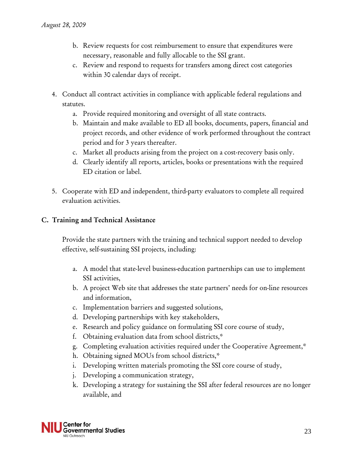- b. Review requests for cost reimbursement to ensure that expenditures were necessary, reasonable and fully allocable to the SSI grant.
- c. Review and respond to requests for transfers among direct cost categories within 30 calendar days of receipt.
- 4. Conduct all contract activities in compliance with applicable federal regulations and statutes.
	- a. Provide required monitoring and oversight of all state contracts.
	- b. Maintain and make available to ED all books, documents, papers, financial and project records, and other evidence of work performed throughout the contract period and for 3 years thereafter.
	- c. Market all products arising from the project on a cost-recovery basis only.
	- d. Clearly identify all reports, articles, books or presentations with the required ED citation or label.
- 5. Cooperate with ED and independent, third-party evaluators to complete all required evaluation activities.

### C. Training and Technical Assistance

Provide the state partners with the training and technical support needed to develop effective, self-sustaining SSI projects, including:

- a. A model that state-level business-education partnerships can use to implement SSI activities,
- b. A project Web site that addresses the state partners' needs for on-line resources and information,
- c. Implementation barriers and suggested solutions,
- d. Developing partnerships with key stakeholders,
- e. Research and policy guidance on formulating SSI core course of study,
- f. Obtaining evaluation data from school districts,\*
- g. Completing evaluation activities required under the Cooperative Agreement,\*
- h. Obtaining signed MOUs from school districts,\*
- i. Developing written materials promoting the SSI core course of study,
- j. Developing a communication strategy,
- k. Developing a strategy for sustaining the SSI after federal resources are no longer available, and

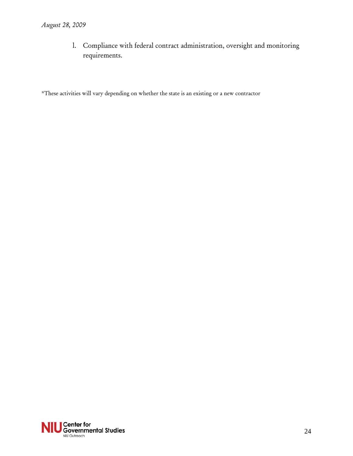l. Compliance with federal contract administration, oversight and monitoring requirements.

\*These activities will vary depending on whether the state is an existing or a new contractor

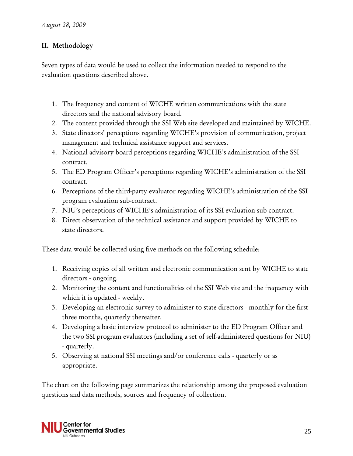### II. Methodology

Seven types of data would be used to collect the information needed to respond to the evaluation questions described above.

- 1. The frequency and content of WICHE written communications with the state directors and the national advisory board.
- 2. The content provided through the SSI Web site developed and maintained by WICHE.
- 3. State directors' perceptions regarding WICHE's provision of communication, project management and technical assistance support and services.
- 4. National advisory board perceptions regarding WICHE's administration of the SSI contract.
- 5. The ED Program Officer's perceptions regarding WICHE's administration of the SSI contract.
- 6. Perceptions of the third-party evaluator regarding WICHE's administration of the SSI program evaluation sub-contract.
- 7. NIU's perceptions of WICHE's administration of its SSI evaluation sub-contract.
- 8. Direct observation of the technical assistance and support provided by WICHE to state directors.

These data would be collected using five methods on the following schedule:

- 1. Receiving copies of all written and electronic communication sent by WICHE to state directors - ongoing.
- 2. Monitoring the content and functionalities of the SSI Web site and the frequency with which it is updated - weekly.
- 3. Developing an electronic survey to administer to state directors monthly for the first three months, quarterly thereafter.
- 4. Developing a basic interview protocol to administer to the ED Program Officer and the two SSI program evaluators (including a set of self-administered questions for NIU) - quarterly.
- 5. Observing at national SSI meetings and/or conference calls quarterly or as appropriate.

The chart on the following page summarizes the relationship among the proposed evaluation questions and data methods, sources and frequency of collection.

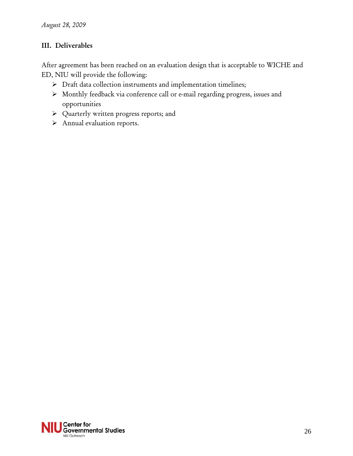## III. Deliverables

After agreement has been reached on an evaluation design that is acceptable to WICHE and ED, NIU will provide the following:

- ¾ Draft data collection instruments and implementation timelines;
- ¾ Monthly feedback via conference call or e-mail regarding progress, issues and opportunities
- ¾ Quarterly written progress reports; and
- ¾ Annual evaluation reports.

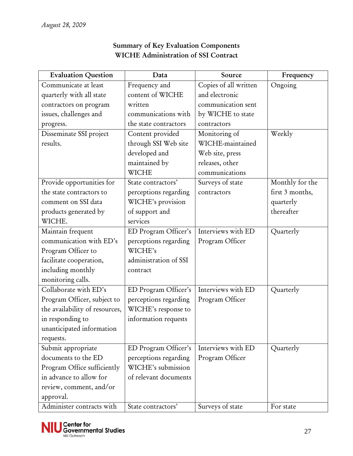| <b>Evaluation Question</b>     | Data                  | Source                | Frequency       |
|--------------------------------|-----------------------|-----------------------|-----------------|
| Communicate at least           | Frequency and         | Copies of all written | Ongoing         |
| quarterly with all state       | content of WICHE      | and electronic        |                 |
| contractors on program         | written               | communication sent    |                 |
| issues, challenges and         | communications with   | by WICHE to state     |                 |
| progress.                      | the state contractors | contractors           |                 |
| Disseminate SSI project        | Content provided      | Monitoring of         | Weekly          |
| results.                       | through SSI Web site  | WICHE-maintained      |                 |
|                                | developed and         | Web site, press       |                 |
|                                | maintained by         | releases, other       |                 |
|                                | <b>WICHE</b>          | communications        |                 |
| Provide opportunities for      | State contractors'    | Surveys of state      | Monthly for the |
| the state contractors to       | perceptions regarding | contractors           | first 3 months, |
| comment on SSI data            | WICHE's provision     |                       | quarterly       |
| products generated by          | of support and        |                       | thereafter      |
| WICHE.                         | services              |                       |                 |
| Maintain frequent              | ED Program Officer's  | Interviews with ED    | Quarterly       |
| communication with ED's        | perceptions regarding | Program Officer       |                 |
| Program Officer to             | WICHE's               |                       |                 |
| facilitate cooperation,        | administration of SSI |                       |                 |
| including monthly              | contract              |                       |                 |
| monitoring calls.              |                       |                       |                 |
| Collaborate with ED's          | ED Program Officer's  | Interviews with ED    | Quarterly       |
| Program Officer, subject to    | perceptions regarding | Program Officer       |                 |
| the availability of resources, | WICHE's response to   |                       |                 |
| in responding to               | information requests  |                       |                 |
| unanticipated information      |                       |                       |                 |
| requests.                      |                       |                       |                 |
| Submit appropriate             | ED Program Officer's  | Interviews with ED    | Quarterly       |
| documents to the ED            | perceptions regarding | Program Officer       |                 |
| Program Office sufficiently    | WICHE's submission    |                       |                 |
| in advance to allow for        | of relevant documents |                       |                 |
| review, comment, and/or        |                       |                       |                 |
| approval.                      |                       |                       |                 |
| Administer contracts with      | State contractors'    | Surveys of state      | For state       |

## Summary of Key Evaluation Components WICHE Administration of SSI Contract

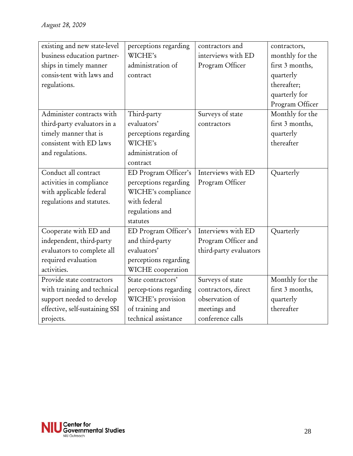| existing and new state-level   | perceptions regarding  | contractors and        | contractors,    |
|--------------------------------|------------------------|------------------------|-----------------|
| business education partner-    | WICHE's                | interviews with ED     | monthly for the |
| ships in timely manner         | administration of      | Program Officer        | first 3 months, |
| consis-tent with laws and      | contract               |                        | quarterly       |
| regulations.                   |                        |                        | thereafter;     |
|                                |                        |                        | quarterly for   |
|                                |                        |                        | Program Officer |
| Administer contracts with      | Third-party            | Surveys of state       | Monthly for the |
| third-party evaluators in a    | evaluators'            | contractors            | first 3 months, |
| timely manner that is          | perceptions regarding  |                        | quarterly       |
| consistent with ED laws        | WICHE's                |                        | thereafter      |
| and regulations.               | administration of      |                        |                 |
|                                | contract               |                        |                 |
| Conduct all contract           | ED Program Officer's   | Interviews with ED     | Quarterly       |
| activities in compliance       | perceptions regarding  | Program Officer        |                 |
| with applicable federal        | WICHE's compliance     |                        |                 |
| regulations and statutes.      | with federal           |                        |                 |
|                                | regulations and        |                        |                 |
|                                | statutes               |                        |                 |
| Cooperate with ED and          | ED Program Officer's   | Interviews with ED     | Quarterly       |
| independent, third-party       | and third-party        | Program Officer and    |                 |
| evaluators to complete all     | evaluators'            | third-party evaluators |                 |
| required evaluation            | perceptions regarding  |                        |                 |
| activities.                    | WICHE cooperation      |                        |                 |
| Provide state contractors      | State contractors'     | Surveys of state       | Monthly for the |
| with training and technical    | percep-tions regarding | contractors, direct    | first 3 months, |
| support needed to develop      | WICHE's provision      | observation of         | quarterly       |
| effective, self-sustaining SSI | of training and        | meetings and           | thereafter      |
| projects.                      | technical assistance   | conference calls       |                 |

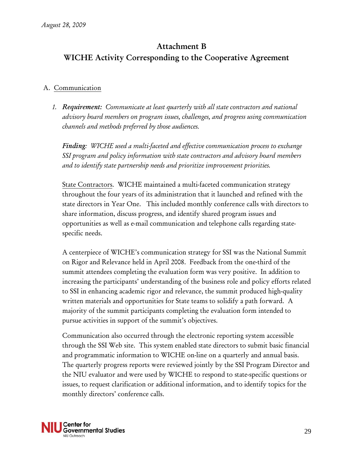# Attachment B WICHE Activity Corresponding to the Cooperative Agreement

### A. Communication

*1. Requirement: Communicate at least quarterly with all state contractors and national advisory board members on program issues, challenges, and progress using communication channels and methods preferred by those audiences.* 

*Finding: WICHE used a multi-faceted and effective communication process to exchange SSI program and policy information with state contractors and advisory board members and to identify state partnership needs and prioritize improvement priorities.* 

State Contractors. WICHE maintained a multi-faceted communication strategy throughout the four years of its administration that it launched and refined with the state directors in Year One. This included monthly conference calls with directors to share information, discuss progress, and identify shared program issues and opportunities as well as e-mail communication and telephone calls regarding statespecific needs.

A centerpiece of WICHE's communication strategy for SSI was the National Summit on Rigor and Relevance held in April 2008. Feedback from the one-third of the summit attendees completing the evaluation form was very positive. In addition to increasing the participants' understanding of the business role and policy efforts related to SSI in enhancing academic rigor and relevance, the summit produced high-quality written materials and opportunities for State teams to solidify a path forward. A majority of the summit participants completing the evaluation form intended to pursue activities in support of the summit's objectives.

Communication also occurred through the electronic reporting system accessible through the SSI Web site. This system enabled state directors to submit basic financial and programmatic information to WICHE on-line on a quarterly and annual basis. The quarterly progress reports were reviewed jointly by the SSI Program Director and the NIU evaluator and were used by WICHE to respond to state-specific questions or issues, to request clarification or additional information, and to identify topics for the monthly directors' conference calls.

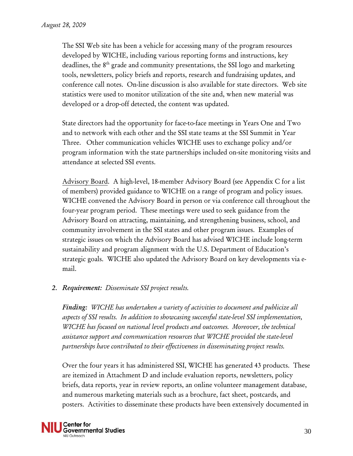The SSI Web site has been a vehicle for accessing many of the program resources developed by WICHE, including various reporting forms and instructions, key deadlines, the  $8<sup>th</sup>$  grade and community presentations, the SSI logo and marketing tools, newsletters, policy briefs and reports, research and fundraising updates, and conference call notes. On-line discussion is also available for state directors. Web site statistics were used to monitor utilization of the site and, when new material was developed or a drop-off detected, the content was updated.

State directors had the opportunity for face-to-face meetings in Years One and Two and to network with each other and the SSI state teams at the SSI Summit in Year Three. Other communication vehicles WICHE uses to exchange policy and/or program information with the state partnerships included on-site monitoring visits and attendance at selected SSI events.

Advisory Board. A high-level, 18-member Advisory Board (see Appendix C for a list of members) provided guidance to WICHE on a range of program and policy issues. WICHE convened the Advisory Board in person or via conference call throughout the four-year program period. These meetings were used to seek guidance from the Advisory Board on attracting, maintaining, and strengthening business, school, and community involvement in the SSI states and other program issues. Examples of strategic issues on which the Advisory Board has advised WICHE include long-term sustainability and program alignment with the U.S. Department of Education's strategic goals. WICHE also updated the Advisory Board on key developments via email.

### *2. Requirement: Disseminate SSI project results.*

*Finding: WICHE has undertaken a variety of activities to document and publicize all aspects of SSI results. In addition to showcasing successful state-level SSI implementation, WICHE has focused on national level products and outcomes. Moreover, the technical assistance support and communication resources that WICHE provided the state-level partnerships have contributed to their effectiveness in disseminating project results.*

Over the four years it has administered SSI, WICHE has generated 43 products. These are itemized in Attachment D and include evaluation reports, newsletters, policy briefs, data reports, year in review reports, an online volunteer management database, and numerous marketing materials such as a brochure, fact sheet, postcards, and posters. Activities to disseminate these products have been extensively documented in

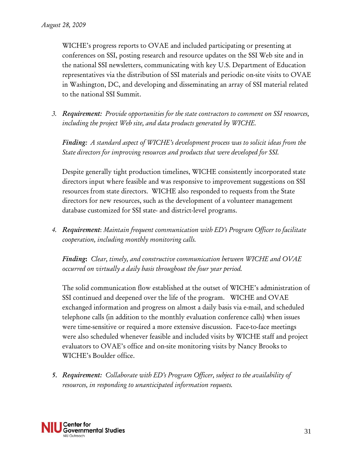WICHE's progress reports to OVAE and included participating or presenting at conferences on SSI, posting research and resource updates on the SSI Web site and in the national SSI newsletters, communicating with key U.S. Department of Education representatives via the distribution of SSI materials and periodic on-site visits to OVAE in Washington, DC, and developing and disseminating an array of SSI material related to the national SSI Summit.

*3. Requirement: Provide opportunities for the state contractors to comment on SSI resources, including the project Web site, and data products generated by WICHE.* 

*Finding: A standard aspect of WICHE's development process was to solicit ideas from the State directors for improving resources and products that were developed for SSI.* 

Despite generally tight production timelines, WICHE consistently incorporated state directors input where feasible and was responsive to improvement suggestions on SSI resources from state directors. WICHE also responded to requests from the State directors for new resources, such as the development of a volunteer management database customized for SSI state- and district-level programs.

*4. Requirement*: *Maintain frequent communication with ED's Program Officer to facilitate cooperation, including monthly monitoring calls.* 

*Finding*: *Clear, timely, and constructive communication between WICHE and OVAE occurred on virtually a daily basis throughout the four year period.* 

The solid communication flow established at the outset of WICHE's administration of SSI continued and deepened over the life of the program. WICHE and OVAE exchanged information and progress on almost a daily basis via e-mail, and scheduled telephone calls (in addition to the monthly evaluation conference calls) when issues were time-sensitive or required a more extensive discussion. Face-to-face meetings were also scheduled whenever feasible and included visits by WICHE staff and project evaluators to OVAE's office and on-site monitoring visits by Nancy Brooks to WICHE's Boulder office.

*5. Requirement: Collaborate with ED's Program Officer, subject to the availability of resources, in responding to unanticipated information requests.* 

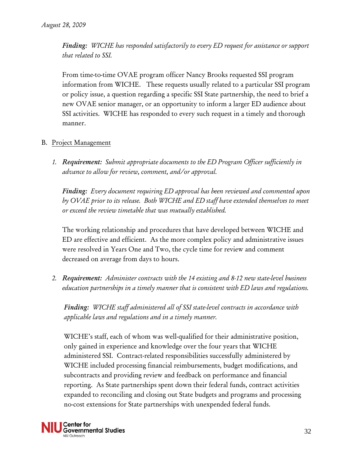*Finding: WICHE has responded satisfactorily to every ED request for assistance or support that related to SSI.* 

From time-to-time OVAE program officer Nancy Brooks requested SSI program information from WICHE. These requests usually related to a particular SSI program or policy issue, a question regarding a specific SSI State partnership, the need to brief a new OVAE senior manager, or an opportunity to inform a larger ED audience about SSI activities. WICHE has responded to every such request in a timely and thorough manner.

#### B. Project Management

*1. Requirement: Submit appropriate documents to the ED Program Officer sufficiently in advance to allow for review, comment, and/or approval.* 

*Finding: Every document requiring ED approval has been reviewed and commented upon by OVAE prior to its release. Both WICHE and ED staff have extended themselves to meet or exceed the review timetable that was mutually established.* 

The working relationship and procedures that have developed between WICHE and ED are effective and efficient. As the more complex policy and administrative issues were resolved in Years One and Two, the cycle time for review and comment decreased on average from days to hours.

*2. Requirement: Administer contracts with the 14 existing and 8-12 new state-level business education partnerships in a timely manner that is consistent with ED laws and regulations.* 

*Finding: WICHE staff administered all of SSI state-level contracts in accordance with applicable laws and regulations and in a timely manner.* 

WICHE's staff, each of whom was well-qualified for their administrative position, only gained in experience and knowledge over the four years that WICHE administered SSI. Contract-related responsibilities successfully administered by WICHE included processing financial reimbursements, budget modifications, and subcontracts and providing review and feedback on performance and financial reporting. As State partnerships spent down their federal funds, contract activities expanded to reconciling and closing out State budgets and programs and processing no-cost extensions for State partnerships with unexpended federal funds.

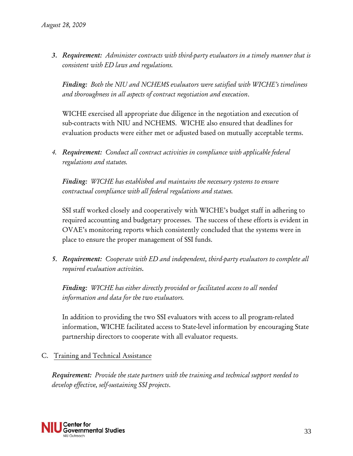*3. Requirement: Administer contracts with third-party evaluators in a timely manner that is consistent with ED laws and regulations.* 

*Finding: Both the NIU and NCHEMS evaluators were satisfied with WICHE's timeliness and thoroughness in all aspects of contract negotiation and execution*.

WICHE exercised all appropriate due diligence in the negotiation and execution of sub-contracts with NIU and NCHEMS. WICHE also ensured that deadlines for evaluation products were either met or adjusted based on mutually acceptable terms.

*4. Requirement: Conduct all contract activities in compliance with applicable federal regulations and statutes.* 

*Finding: WICHE has established and maintains the necessary systems to ensure contractual compliance with all federal regulations and statues.* 

SSI staff worked closely and cooperatively with WICHE's budget staff in adhering to required accounting and budgetary processes. The success of these efforts is evident in OVAE's monitoring reports which consistently concluded that the systems were in place to ensure the proper management of SSI funds.

*5. Requirement: Cooperate with ED and independent, third-party evaluators to complete all required evaluation activities.* 

*Finding: WICHE has either directly provided or facilitated access to all needed information and data for the two evaluators.* 

In addition to providing the two SSI evaluators with access to all program-related information, WICHE facilitated access to State-level information by encouraging State partnership directors to cooperate with all evaluator requests.

C. Training and Technical Assistance

*Requirement: Provide the state partners with the training and technical support needed to develop effective, self-sustaining SSI projects*.

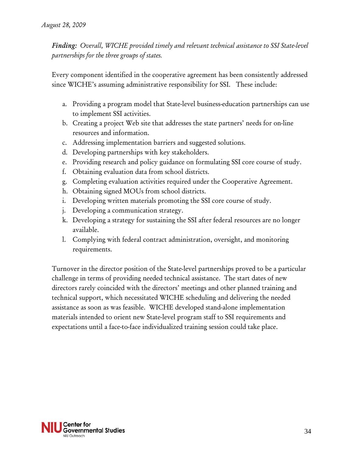*Finding: Overall, WICHE provided timely and relevant technical assistance to SSI State-level partnerships for the three groups of states.* 

 Every component identified in the cooperative agreement has been consistently addressed since WICHE's assuming administrative responsibility for SSI. These include:

- a. Providing a program model that State-level business-education partnerships can use to implement SSI activities.
- b. Creating a project Web site that addresses the state partners' needs for on-line resources and information.
- c. Addressing implementation barriers and suggested solutions.
- d. Developing partnerships with key stakeholders.
- e. Providing research and policy guidance on formulating SSI core course of study.
- f. Obtaining evaluation data from school districts.
- g. Completing evaluation activities required under the Cooperative Agreement.
- h. Obtaining signed MOUs from school districts.
- i. Developing written materials promoting the SSI core course of study.
- j. Developing a communication strategy.
- k. Developing a strategy for sustaining the SSI after federal resources are no longer available.
- l. Complying with federal contract administration, oversight, and monitoring requirements.

Turnover in the director position of the State-level partnerships proved to be a particular challenge in terms of providing needed technical assistance. The start dates of new directors rarely coincided with the directors' meetings and other planned training and technical support, which necessitated WICHE scheduling and delivering the needed assistance as soon as was feasible. WICHE developed stand-alone implementation materials intended to orient new State-level program staff to SSI requirements and expectations until a face-to-face individualized training session could take place.

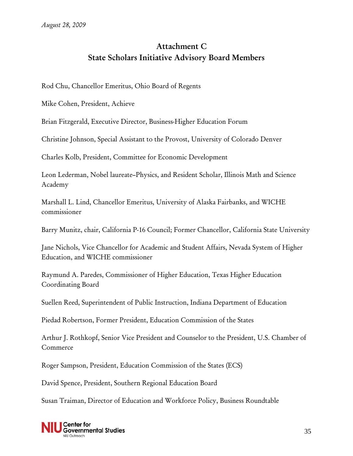# Attachment C State Scholars Initiative Advisory Board Members

Rod Chu, Chancellor Emeritus, Ohio Board of Regents

Mike Cohen, President, Achieve

Brian Fitzgerald, Executive Director, Business-Higher Education Forum

Christine Johnson, Special Assistant to the Provost, University of Colorado Denver

Charles Kolb, President, Committee for Economic Development

Leon Lederman, Nobel laureate–Physics, and Resident Scholar, Illinois Math and Science Academy

Marshall L. Lind, Chancellor Emeritus, University of Alaska Fairbanks, and WICHE commissioner

Barry Munitz, chair, California P-16 Council; Former Chancellor, California State University

Jane Nichols, Vice Chancellor for Academic and Student Affairs, Nevada System of Higher Education, and WICHE commissioner

Raymund A. Paredes, Commissioner of Higher Education, Texas Higher Education Coordinating Board

Suellen Reed, Superintendent of Public Instruction, Indiana Department of Education

Piedad Robertson, Former President, Education Commission of the States

Arthur J. Rothkopf, Senior Vice President and Counselor to the President, U.S. Chamber of Commerce

Roger Sampson, President, Education Commission of the States (ECS)

David Spence, President, Southern Regional Education Board

Susan Traiman, Director of Education and Workforce Policy, Business Roundtable

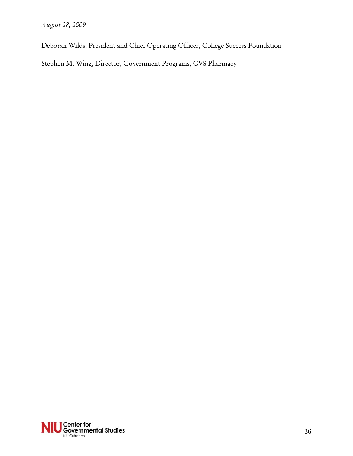*August 28, 2009* 

Deborah Wilds, President and Chief Operating Officer, College Success Foundation

Stephen M. Wing, Director, Government Programs, CVS Pharmacy

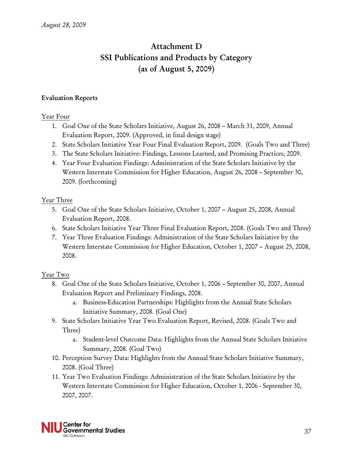# Attachment D SSI Publications and Products by Category (as of August 5, 2009)

#### Evaluation Reports

#### Year Four

- 1. Goal One of the State Scholars Initiative, August 26, 2008 March 31, 2009, Annual Evaluation Report, 2009. (Approved, in final design stage)
- 2. State Scholars Initiative Year Four Final Evaluation Report, 2009. (Goals Two and Three)
- 3. The State Scholars Initiative: Findings, Lessons Learned, and Promising Practices, 2009.
- 4. Year Four Evaluation Findings: Administration of the State Scholars Initiative by the Western Interstate Commission for Higher Education, August 26, 2008 – September 30, 2009. (forthcoming)

#### Year Three

- 5. Goal One of the State Scholars Initiative, October 1, 2007 August 25, 2008, Annual Evaluation Report, 2008.
- 6. State Scholars Initiative Year Three Final Evaluation Report, 2008. (Goals Two and Three)
- 7. Year Three Evaluation Findings: Administration of the State Scholars Initiative by the Western Interstate Commission for Higher Education, October 1, 2007 – August 25, 2008, 2008.

### Year Two

- 8. Goal One of the State Scholars Initiative, October 1, 2006 September 30, 2007, Annual Evaluation Report and Preliminary Findings, 2008.
	- a. Business-Education Partnerships: Highlights from the Annual State Scholars Initiative Summary, 2008. (Goal One)
- 9. State Scholars Initiative Year Two Evaluation Report, Revised, 2008. (Goals Two and Three)
	- a. Student-level Outcome Data: Highlights from the Annual State Scholars Initiative Summary, 2008. (Goal Two)
- 10. Perception Survey Data: Highlights from the Annual State Scholars Initiative Summary, 2008. (Goal Three)
- 11. Year Two Evaluation Findings: Administration of the State Scholars Initiative by the Western Interstate Commission for Higher Education, October 1, 2006 - September 30, 2007, 2007.

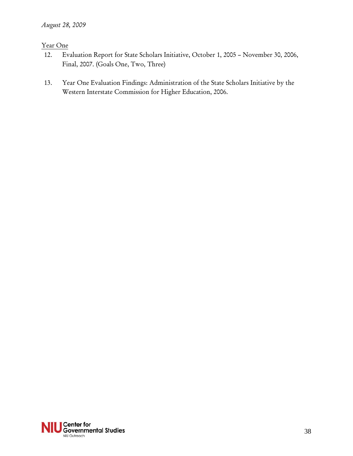### Year One

- 12. Evaluation Report for State Scholars Initiative, October 1, 2005 November 30, 2006, Final, 2007. (Goals One, Two, Three)
- 13. Year One Evaluation Findings: Administration of the State Scholars Initiative by the Western Interstate Commission for Higher Education, 2006.

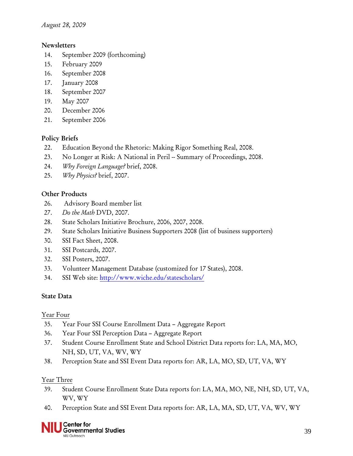#### **Newsletters**

- 14. September 2009 (forthcoming)
- 15. February 2009
- 16. September 2008
- 17. January 2008
- 18. September 2007
- 19. May 2007
- 20. December 2006
- 21. September 2006

### Policy Briefs

- 22. Education Beyond the Rhetoric: Making Rigor Something Real, 2008.
- 23. No Longer at Risk: A National in Peril -- Summary of Proceedings, 2008.
- 24. *Why Foreign Language?* brief, 2008.
- 25. *Why Physics?* brief, 2007.

### Other Products

- 26. Advisory Board member list
- 27. *Do the Math* DVD, 2007.
- 28. State Scholars Initiative Brochure, 2006, 2007, 2008.
- 29. State Scholars Initiative Business Supporters 2008 (list of business supporters)
- 30. SSI Fact Sheet, 2008.
- 31. SSI Postcards, 2007.
- 32. SSI Posters, 2007.
- 33. Volunteer Management Database (customized for 17 States), 2008.
- 34. SSI Web site: http://www.wiche.edu/statescholars/

### State Data

### Year Four

- 35. Year Four SSI Course Enrollment Data Aggregate Report
- 36. Year Four SSI Perception Data Aggregate Report
- 37. Student Course Enrollment State and School District Data reports for: LA, MA, MO, NH, SD, UT, VA, WV, WY
- 38. Perception State and SSI Event Data reports for: AR, LA, MO, SD, UT, VA, WY

### Year Three

- 39. Student Course Enrollment State Data reports for: LA, MA, MO, NE, NH, SD, UT, VA, WV, WY
- 40. Perception State and SSI Event Data reports for: AR, LA, MA, SD, UT, VA, WV, WY